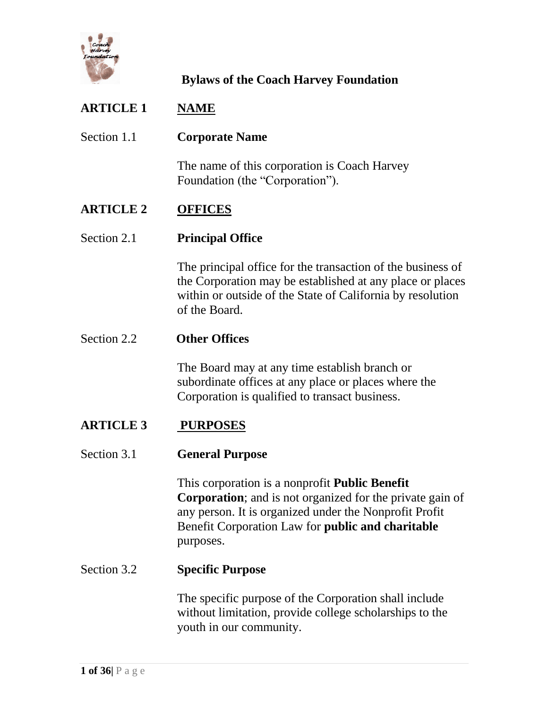

# **ARTICLE 1 NAME**  Section 1.1 **Corporate Name** The name of this corporation is Coach Harvey Foundation (the "Corporation"). **ARTICLE 2 OFFICES**  Section 2.1 **Principal Office** The principal office for the transaction of the business of the Corporation may be established at any place or places within or outside of the State of California by resolution of the Board. Section 2.2 **Other Offices** The Board may at any time establish branch or subordinate offices at any place or places where the Corporation is qualified to transact business. **ARTICLE 3 PURPOSES** Section 3.1 **General Purpose** This corporation is a nonprofit **Public Benefit Corporation**; and is not organized for the private gain of any person. It is organized under the Nonprofit Profit Benefit Corporation Law for **public and charitable** purposes.

### The specific purpose of the Corporation shall include without limitation, provide college scholarships to the youth in our community.

Section 3.2 **Specific Purpose**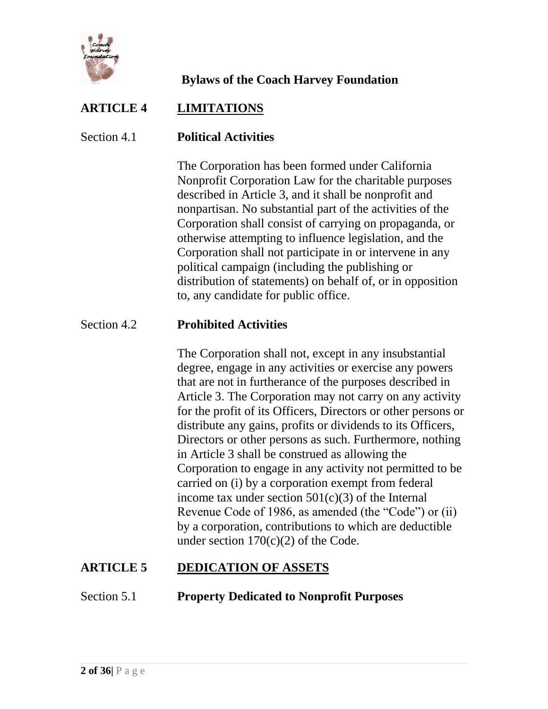

# **ARTICLE 4 LIMITATIONS**

### Section 4.1 **Political Activities**

The Corporation has been formed under California Nonprofit Corporation Law for the charitable purposes described in Article 3, and it shall be nonprofit and nonpartisan. No substantial part of the activities of the Corporation shall consist of carrying on propaganda, or otherwise attempting to influence legislation, and the Corporation shall not participate in or intervene in any political campaign (including the publishing or distribution of statements) on behalf of, or in opposition to, any candidate for public office.

### Section 4.2 **Prohibited Activities**

The Corporation shall not, except in any insubstantial degree, engage in any activities or exercise any powers that are not in furtherance of the purposes described in Article 3. The Corporation may not carry on any activity for the profit of its Officers, Directors or other persons or distribute any gains, profits or dividends to its Officers, Directors or other persons as such. Furthermore, nothing in Article 3 shall be construed as allowing the Corporation to engage in any activity not permitted to be carried on (i) by a corporation exempt from federal income tax under section  $501(c)(3)$  of the Internal Revenue Code of 1986, as amended (the "Code") or (ii) by a corporation, contributions to which are deductible under section  $170(c)(2)$  of the Code.

# **ARTICLE 5 DEDICATION OF ASSETS**

### Section 5.1 **Property Dedicated to Nonprofit Purposes**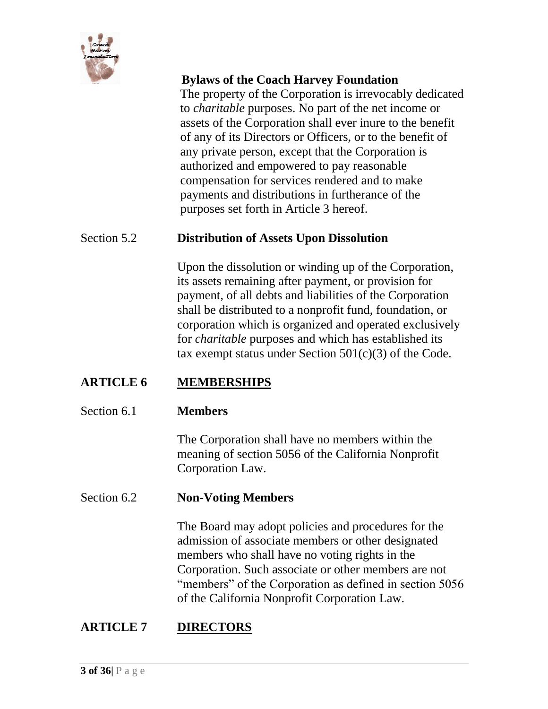

The property of the Corporation is irrevocably dedicated to *charitable* purposes. No part of the net income or assets of the Corporation shall ever inure to the benefit of any of its Directors or Officers, or to the benefit of any private person, except that the Corporation is authorized and empowered to pay reasonable compensation for services rendered and to make payments and distributions in furtherance of the purposes set forth in Article 3 hereof.

### Section 5.2 **Distribution of Assets Upon Dissolution**

Upon the dissolution or winding up of the Corporation, its assets remaining after payment, or provision for payment, of all debts and liabilities of the Corporation shall be distributed to a nonprofit fund, foundation, or corporation which is organized and operated exclusively for *charitable* purposes and which has established its tax exempt status under Section  $501(c)(3)$  of the Code.

# **ARTICLE 6 MEMBERSHIPS**

#### Section 6.1 **Members**

The Corporation shall have no members within the meaning of section 5056 of the California Nonprofit Corporation Law.

#### Section 6.2 **Non-Voting Members**

The Board may adopt policies and procedures for the admission of associate members or other designated members who shall have no voting rights in the Corporation. Such associate or other members are not "members" of the Corporation as defined in section 5056 of the California Nonprofit Corporation Law.

# **ARTICLE 7 DIRECTORS**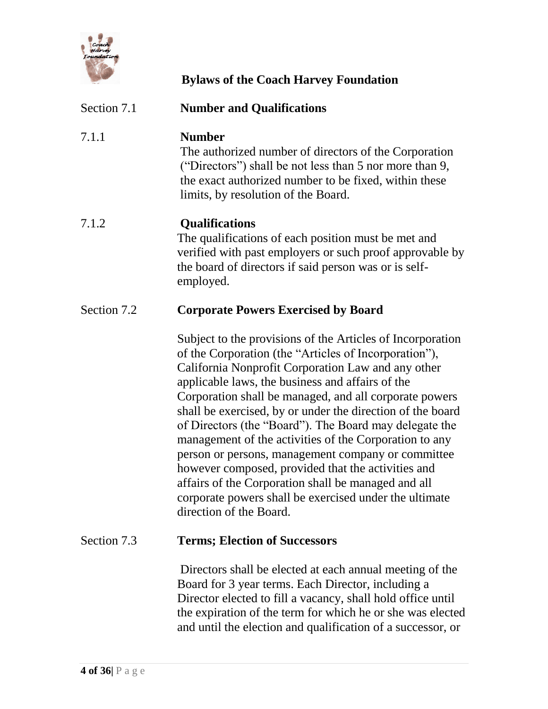

| Section 7.1 | <b>Number and Qualifications</b>                                                                                                                                                                                                                                                                                                                                                                                                                                                                                                                                                                                                                                                                                                  |
|-------------|-----------------------------------------------------------------------------------------------------------------------------------------------------------------------------------------------------------------------------------------------------------------------------------------------------------------------------------------------------------------------------------------------------------------------------------------------------------------------------------------------------------------------------------------------------------------------------------------------------------------------------------------------------------------------------------------------------------------------------------|
| 7.1.1       | <b>Number</b><br>The authorized number of directors of the Corporation<br>("Directors") shall be not less than 5 nor more than 9,<br>the exact authorized number to be fixed, within these<br>limits, by resolution of the Board.                                                                                                                                                                                                                                                                                                                                                                                                                                                                                                 |
| 7.1.2       | <b>Qualifications</b><br>The qualifications of each position must be met and<br>verified with past employers or such proof approvable by<br>the board of directors if said person was or is self-<br>employed.                                                                                                                                                                                                                                                                                                                                                                                                                                                                                                                    |
| Section 7.2 | <b>Corporate Powers Exercised by Board</b>                                                                                                                                                                                                                                                                                                                                                                                                                                                                                                                                                                                                                                                                                        |
|             | Subject to the provisions of the Articles of Incorporation<br>of the Corporation (the "Articles of Incorporation"),<br>California Nonprofit Corporation Law and any other<br>applicable laws, the business and affairs of the<br>Corporation shall be managed, and all corporate powers<br>shall be exercised, by or under the direction of the board<br>of Directors (the "Board"). The Board may delegate the<br>management of the activities of the Corporation to any<br>person or persons, management company or committee<br>however composed, provided that the activities and<br>affairs of the Corporation shall be managed and all<br>corporate powers shall be exercised under the ultimate<br>direction of the Board. |
| Section 7.3 | <b>Terms; Election of Successors</b>                                                                                                                                                                                                                                                                                                                                                                                                                                                                                                                                                                                                                                                                                              |
|             | Directors shall be elected at each annual meeting of the<br>Board for 3 year terms. Each Director, including a<br>Director elected to fill a vacancy, shall hold office until<br>the expiration of the term for which he or she was elected                                                                                                                                                                                                                                                                                                                                                                                                                                                                                       |

and until the election and qualification of a successor, or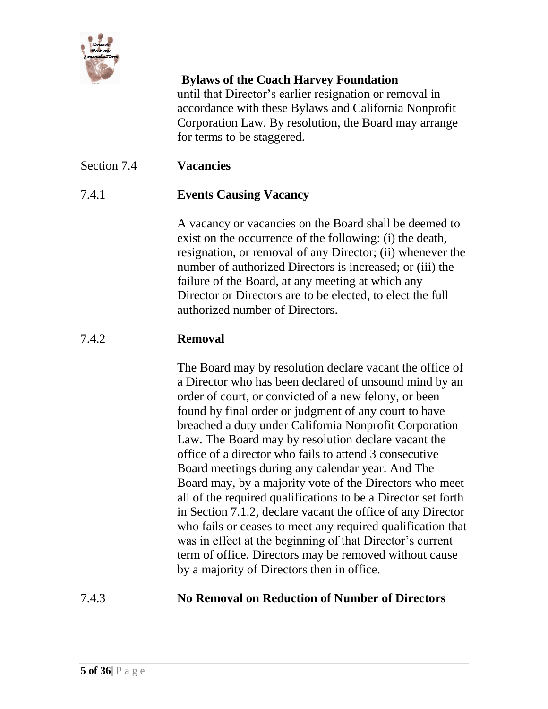

until that Director's earlier resignation or removal in accordance with these Bylaws and California Nonprofit Corporation Law. By resolution, the Board may arrange for terms to be staggered.

### Section 7.4 **Vacancies**

### 7.4.1 **Events Causing Vacancy**

A vacancy or vacancies on the Board shall be deemed to exist on the occurrence of the following: (i) the death, resignation, or removal of any Director; (ii) whenever the number of authorized Directors is increased; or (iii) the failure of the Board, at any meeting at which any Director or Directors are to be elected, to elect the full authorized number of Directors.

### 7.4.2 **Removal**

The Board may by resolution declare vacant the office of a Director who has been declared of unsound mind by an order of court, or convicted of a new felony, or been found by final order or judgment of any court to have breached a duty under California Nonprofit Corporation Law. The Board may by resolution declare vacant the office of a director who fails to attend 3 consecutive Board meetings during any calendar year. And The Board may, by a majority vote of the Directors who meet all of the required qualifications to be a Director set forth in Section 7.1.2, declare vacant the office of any Director who fails or ceases to meet any required qualification that was in effect at the beginning of that Director's current term of office*.* Directors may be removed without cause by a majority of Directors then in office.

### 7.4.3 **No Removal on Reduction of Number of Directors**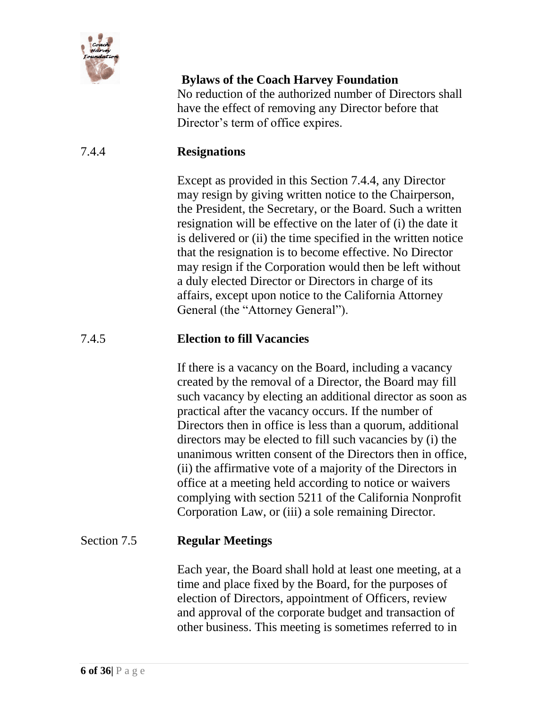

No reduction of the authorized number of Directors shall have the effect of removing any Director before that Director's term of office expires.

### 7.4.4 **Resignations**

Except as provided in this Section 7.4.4, any Director may resign by giving written notice to the Chairperson, the President, the Secretary, or the Board. Such a written resignation will be effective on the later of (i) the date it is delivered or (ii) the time specified in the written notice that the resignation is to become effective. No Director may resign if the Corporation would then be left without a duly elected Director or Directors in charge of its affairs, except upon notice to the California Attorney General (the "Attorney General").

### 7.4.5 **Election to fill Vacancies**

If there is a vacancy on the Board, including a vacancy created by the removal of a Director, the Board may fill such vacancy by electing an additional director as soon as practical after the vacancy occurs. If the number of Directors then in office is less than a quorum, additional directors may be elected to fill such vacancies by (i) the unanimous written consent of the Directors then in office, (ii) the affirmative vote of a majority of the Directors in office at a meeting held according to notice or waivers complying with section 5211 of the California Nonprofit Corporation Law, or (iii) a sole remaining Director.

### Section 7.5 **Regular Meetings**

Each year, the Board shall hold at least one meeting, at a time and place fixed by the Board, for the purposes of election of Directors, appointment of Officers, review and approval of the corporate budget and transaction of other business. This meeting is sometimes referred to in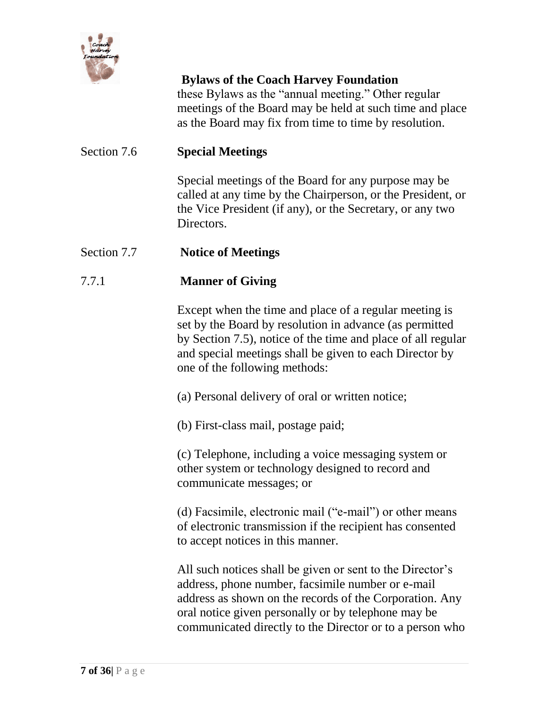

these Bylaws as the "annual meeting." Other regular meetings of the Board may be held at such time and place as the Board may fix from time to time by resolution.

### Section 7.6 **Special Meetings**

Special meetings of the Board for any purpose may be called at any time by the Chairperson, or the President, or the Vice President (if any), or the Secretary, or any two Directors.

### Section 7.7 **Notice of Meetings**

### 7.7.1 **Manner of Giving**

Except when the time and place of a regular meeting is set by the Board by resolution in advance (as permitted by Section 7.5), notice of the time and place of all regular and special meetings shall be given to each Director by one of the following methods:

(a) Personal delivery of oral or written notice;

(b) First-class mail, postage paid;

(c) Telephone, including a voice messaging system or other system or technology designed to record and communicate messages; or

(d) Facsimile, electronic mail ("e-mail") or other means of electronic transmission if the recipient has consented to accept notices in this manner.

All such notices shall be given or sent to the Director's address, phone number, facsimile number or e-mail address as shown on the records of the Corporation. Any oral notice given personally or by telephone may be communicated directly to the Director or to a person who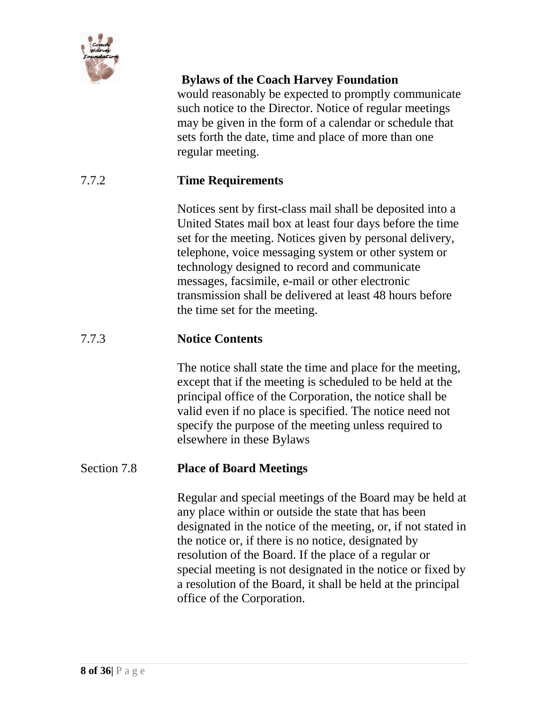

would reasonably be expected to promptly communicate such notice to the Director. Notice of regular meetings may be given in the form of a calendar or schedule that sets forth the date, time and place of more than one regular meeting.

### 7.7.2 **Time Requirements**

Notices sent by first-class mail shall be deposited into a United States mail box at least four days before the time set for the meeting. Notices given by personal delivery, telephone, voice messaging system or other system or technology designed to record and communicate messages, facsimile, e-mail or other electronic transmission shall be delivered at least 48 hours before the time set for the meeting.

#### 7.7.3 **Notice Contents**

The notice shall state the time and place for the meeting, except that if the meeting is scheduled to be held at the principal office of the Corporation, the notice shall be valid even if no place is specified. The notice need not specify the purpose of the meeting unless required to elsewhere in these Bylaws

#### Section 7.8 **Place of Board Meetings**

Regular and special meetings of the Board may be held at any place within or outside the state that has been designated in the notice of the meeting, or, if not stated in the notice or, if there is no notice, designated by resolution of the Board. If the place of a regular or special meeting is not designated in the notice or fixed by a resolution of the Board, it shall be held at the principal office of the Corporation.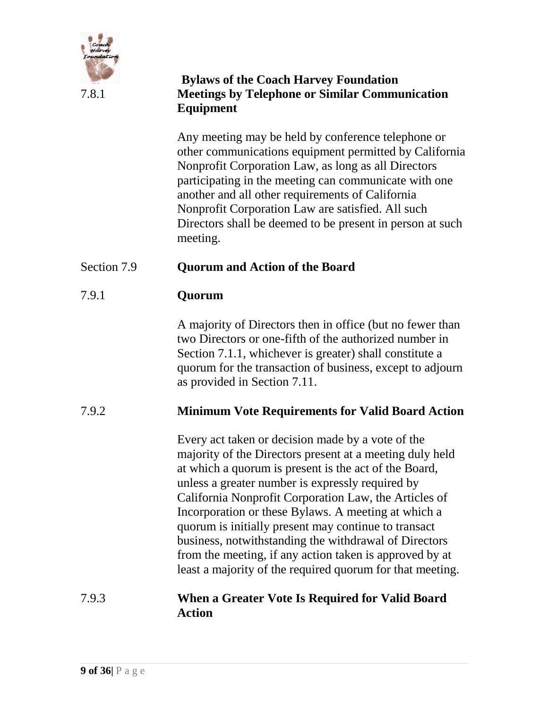

### **Bylaws of the Coach Harvey Foundation** 7.8.1 **Meetings by Telephone or Similar Communication Equipment**

Any meeting may be held by conference telephone or other communications equipment permitted by California Nonprofit Corporation Law, as long as all Directors participating in the meeting can communicate with one another and all other requirements of California Nonprofit Corporation Law are satisfied. All such Directors shall be deemed to be present in person at such meeting.

# Section 7.9 **Quorum and Action of the Board**

### 7.9.1 **Quorum**

A majority of Directors then in office (but no fewer than two Directors or one-fifth of the authorized number in Section 7.1.1, whichever is greater) shall constitute a quorum for the transaction of business, except to adjourn as provided in Section 7.11.

# 7.9.2 **Minimum Vote Requirements for Valid Board Action**

Every act taken or decision made by a vote of the majority of the Directors present at a meeting duly held at which a quorum is present is the act of the Board, unless a greater number is expressly required by California Nonprofit Corporation Law, the Articles of Incorporation or these Bylaws. A meeting at which a quorum is initially present may continue to transact business, notwithstanding the withdrawal of Directors from the meeting, if any action taken is approved by at least a majority of the required quorum for that meeting.

### 7.9.3 **When a Greater Vote Is Required for Valid Board Action**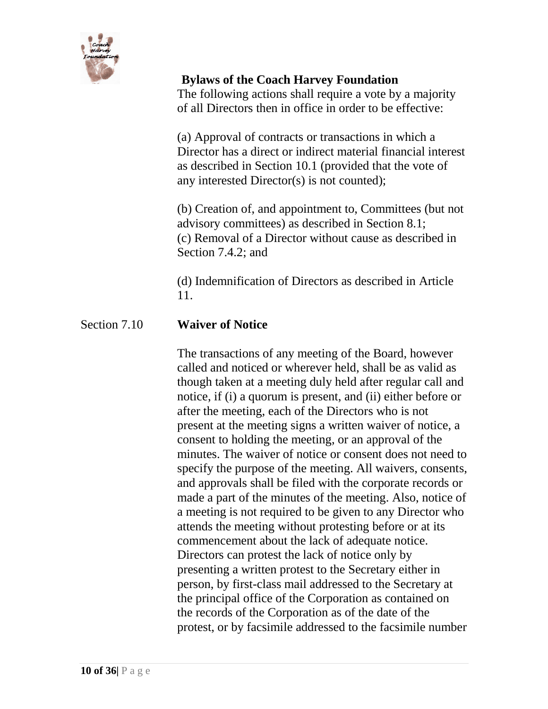

The following actions shall require a vote by a majority of all Directors then in office in order to be effective:

(a) Approval of contracts or transactions in which a Director has a direct or indirect material financial interest as described in Section 10.1 (provided that the vote of any interested Director(s) is not counted);

(b) Creation of, and appointment to, Committees (but not advisory committees) as described in Section 8.1; (c) Removal of a Director without cause as described in Section 7.4.2; and

(d) Indemnification of Directors as described in Article 11.

# Section 7.10 **Waiver of Notice**

The transactions of any meeting of the Board, however called and noticed or wherever held, shall be as valid as though taken at a meeting duly held after regular call and notice, if (i) a quorum is present, and (ii) either before or after the meeting, each of the Directors who is not present at the meeting signs a written waiver of notice, a consent to holding the meeting, or an approval of the minutes. The waiver of notice or consent does not need to specify the purpose of the meeting. All waivers, consents, and approvals shall be filed with the corporate records or made a part of the minutes of the meeting. Also, notice of a meeting is not required to be given to any Director who attends the meeting without protesting before or at its commencement about the lack of adequate notice. Directors can protest the lack of notice only by presenting a written protest to the Secretary either in person, by first-class mail addressed to the Secretary at the principal office of the Corporation as contained on the records of the Corporation as of the date of the protest, or by facsimile addressed to the facsimile number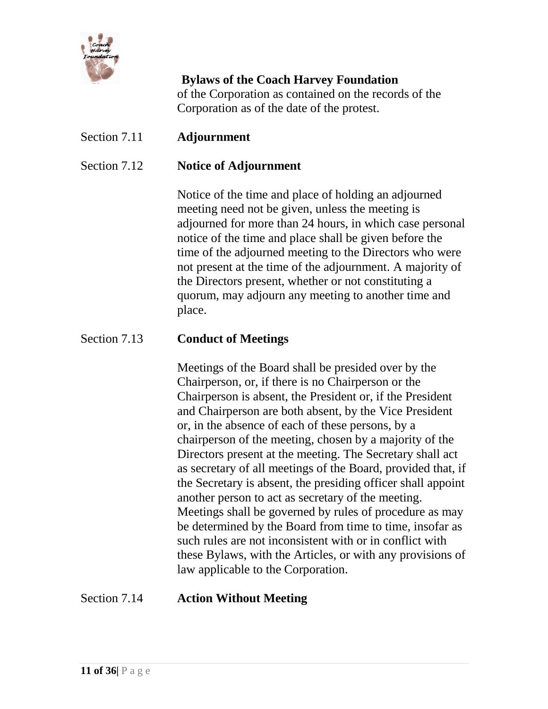

**Bylaws of the Coach Harvey Foundation** of the Corporation as contained on the records of the Corporation as of the date of the protest.

### Section 7.11 **Adjournment**

### Section 7.12 **Notice of Adjournment**

Notice of the time and place of holding an adjourned meeting need not be given, unless the meeting is adjourned for more than 24 hours, in which case personal notice of the time and place shall be given before the time of the adjourned meeting to the Directors who were not present at the time of the adjournment. A majority of the Directors present, whether or not constituting a quorum, may adjourn any meeting to another time and place.

### Section 7.13 **Conduct of Meetings**

Meetings of the Board shall be presided over by the Chairperson, or, if there is no Chairperson or the Chairperson is absent, the President or, if the President and Chairperson are both absent, by the Vice President or, in the absence of each of these persons, by a chairperson of the meeting, chosen by a majority of the Directors present at the meeting. The Secretary shall act as secretary of all meetings of the Board, provided that, if the Secretary is absent, the presiding officer shall appoint another person to act as secretary of the meeting. Meetings shall be governed by rules of procedure as may be determined by the Board from time to time, insofar as such rules are not inconsistent with or in conflict with these Bylaws, with the Articles, or with any provisions of law applicable to the Corporation.

#### Section 7.14 **Action Without Meeting**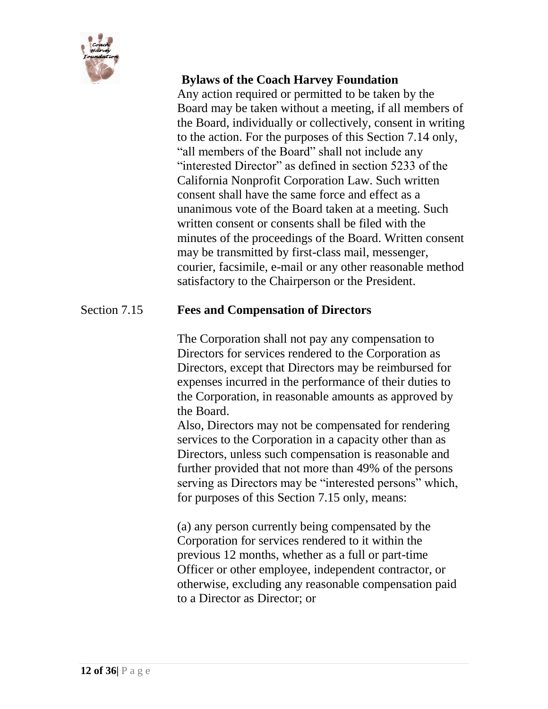

Any action required or permitted to be taken by the Board may be taken without a meeting, if all members of the Board, individually or collectively, consent in writing to the action. For the purposes of this Section 7.14 only, "all members of the Board" shall not include any "interested Director" as defined in section 5233 of the California Nonprofit Corporation Law. Such written consent shall have the same force and effect as a unanimous vote of the Board taken at a meeting. Such written consent or consents shall be filed with the minutes of the proceedings of the Board. Written consent may be transmitted by first-class mail, messenger, courier, facsimile, e-mail or any other reasonable method satisfactory to the Chairperson or the President.

### Section 7.15 **Fees and Compensation of Directors**

The Corporation shall not pay any compensation to Directors for services rendered to the Corporation as Directors, except that Directors may be reimbursed for expenses incurred in the performance of their duties to the Corporation, in reasonable amounts as approved by the Board.

Also, Directors may not be compensated for rendering services to the Corporation in a capacity other than as Directors, unless such compensation is reasonable and further provided that not more than 49% of the persons serving as Directors may be "interested persons" which, for purposes of this Section 7.15 only, means:

(a) any person currently being compensated by the Corporation for services rendered to it within the previous 12 months, whether as a full or part-time Officer or other employee, independent contractor, or otherwise, excluding any reasonable compensation paid to a Director as Director; or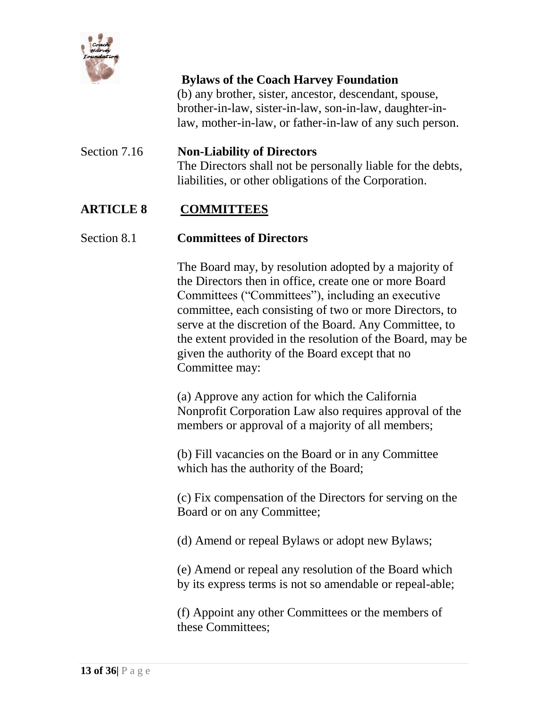

(b) any brother, sister, ancestor, descendant, spouse, brother-in-law, sister-in-law, son-in-law, daughter-inlaw, mother-in-law, or father-in-law of any such person.

# Section 7.16 **Non-Liability of Directors** The Directors shall not be personally liable for the debts, liabilities, or other obligations of the Corporation.

### **ARTICLE 8 COMMITTEES**

#### Section 8.1 **Committees of Directors**

The Board may, by resolution adopted by a majority of the Directors then in office, create one or more Board Committees ("Committees"), including an executive committee, each consisting of two or more Directors, to serve at the discretion of the Board. Any Committee, to the extent provided in the resolution of the Board, may be given the authority of the Board except that no Committee may:

(a) Approve any action for which the California Nonprofit Corporation Law also requires approval of the members or approval of a majority of all members;

(b) Fill vacancies on the Board or in any Committee which has the authority of the Board;

(c) Fix compensation of the Directors for serving on the Board or on any Committee;

(d) Amend or repeal Bylaws or adopt new Bylaws;

(e) Amend or repeal any resolution of the Board which by its express terms is not so amendable or repeal-able;

(f) Appoint any other Committees or the members of these Committees;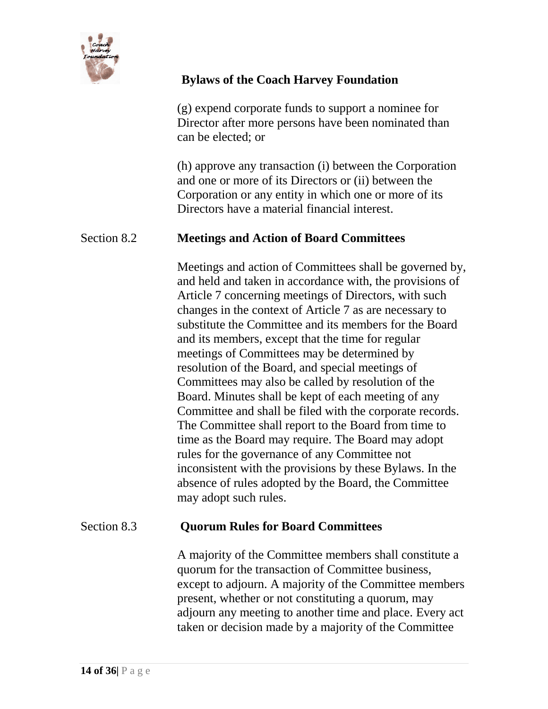

(g) expend corporate funds to support a nominee for Director after more persons have been nominated than can be elected; or

(h) approve any transaction (i) between the Corporation and one or more of its Directors or (ii) between the Corporation or any entity in which one or more of its Directors have a material financial interest.

### Section 8.2 **Meetings and Action of Board Committees**

Meetings and action of Committees shall be governed by, and held and taken in accordance with, the provisions of Article 7 concerning meetings of Directors, with such changes in the context of Article 7 as are necessary to substitute the Committee and its members for the Board and its members, except that the time for regular meetings of Committees may be determined by resolution of the Board, and special meetings of Committees may also be called by resolution of the Board. Minutes shall be kept of each meeting of any Committee and shall be filed with the corporate records. The Committee shall report to the Board from time to time as the Board may require. The Board may adopt rules for the governance of any Committee not inconsistent with the provisions by these Bylaws. In the absence of rules adopted by the Board, the Committee may adopt such rules.

#### Section 8.3 **Quorum Rules for Board Committees**

A majority of the Committee members shall constitute a quorum for the transaction of Committee business, except to adjourn. A majority of the Committee members present, whether or not constituting a quorum, may adjourn any meeting to another time and place. Every act taken or decision made by a majority of the Committee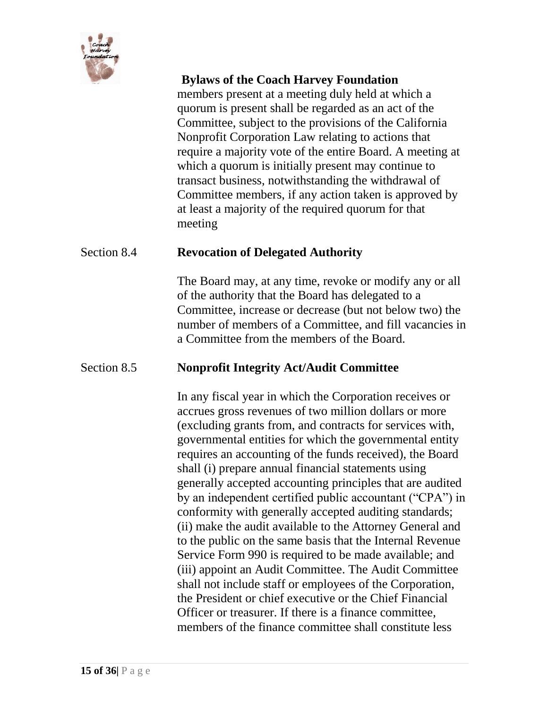

members present at a meeting duly held at which a quorum is present shall be regarded as an act of the Committee, subject to the provisions of the California Nonprofit Corporation Law relating to actions that require a majority vote of the entire Board. A meeting at which a quorum is initially present may continue to transact business, notwithstanding the withdrawal of Committee members, if any action taken is approved by at least a majority of the required quorum for that meeting

#### Section 8.4 **Revocation of Delegated Authority**

The Board may, at any time, revoke or modify any or all of the authority that the Board has delegated to a Committee, increase or decrease (but not below two) the number of members of a Committee, and fill vacancies in a Committee from the members of the Board.

### Section 8.5 **Nonprofit Integrity Act/Audit Committee**

In any fiscal year in which the Corporation receives or accrues gross revenues of two million dollars or more (excluding grants from, and contracts for services with, governmental entities for which the governmental entity requires an accounting of the funds received), the Board shall (i) prepare annual financial statements using generally accepted accounting principles that are audited by an independent certified public accountant ("CPA") in conformity with generally accepted auditing standards; (ii) make the audit available to the Attorney General and to the public on the same basis that the Internal Revenue Service Form 990 is required to be made available; and (iii) appoint an Audit Committee. The Audit Committee shall not include staff or employees of the Corporation, the President or chief executive or the Chief Financial Officer or treasurer. If there is a finance committee, members of the finance committee shall constitute less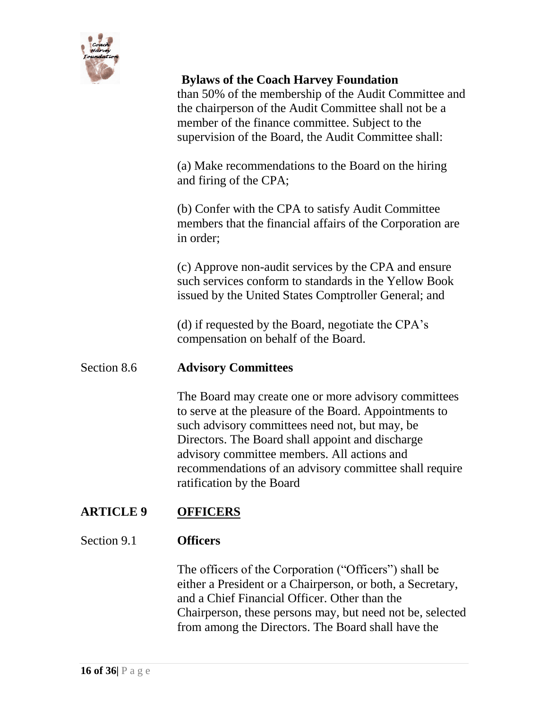

than 50% of the membership of the Audit Committee and the chairperson of the Audit Committee shall not be a member of the finance committee. Subject to the supervision of the Board, the Audit Committee shall:

(a) Make recommendations to the Board on the hiring and firing of the CPA;

(b) Confer with the CPA to satisfy Audit Committee members that the financial affairs of the Corporation are in order;

(c) Approve non-audit services by the CPA and ensure such services conform to standards in the Yellow Book issued by the United States Comptroller General; and

(d) if requested by the Board, negotiate the CPA's compensation on behalf of the Board.

### Section 8.6 **Advisory Committees**

The Board may create one or more advisory committees to serve at the pleasure of the Board. Appointments to such advisory committees need not, but may, be Directors. The Board shall appoint and discharge advisory committee members. All actions and recommendations of an advisory committee shall require ratification by the Board

### **ARTICLE 9 OFFICERS**

#### Section 9.1 **Officers**

The officers of the Corporation ("Officers") shall be either a President or a Chairperson, or both, a Secretary, and a Chief Financial Officer. Other than the Chairperson, these persons may, but need not be, selected from among the Directors. The Board shall have the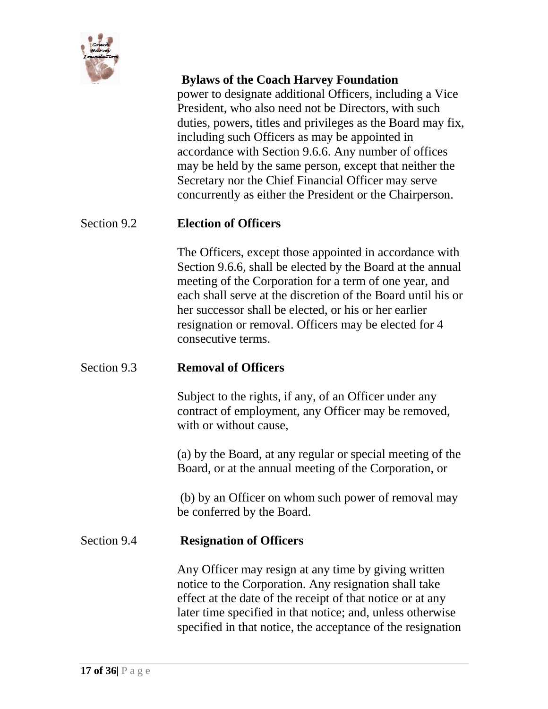

power to designate additional Officers, including a Vice President, who also need not be Directors, with such duties, powers, titles and privileges as the Board may fix, including such Officers as may be appointed in accordance with Section 9.6.6. Any number of offices may be held by the same person, except that neither the Secretary nor the Chief Financial Officer may serve concurrently as either the President or the Chairperson.

### Section 9.2 **Election of Officers**

The Officers, except those appointed in accordance with Section 9.6.6, shall be elected by the Board at the annual meeting of the Corporation for a term of one year, and each shall serve at the discretion of the Board until his or her successor shall be elected, or his or her earlier resignation or removal. Officers may be elected for 4 consecutive terms.

### Section 9.3 **Removal of Officers**

Subject to the rights, if any, of an Officer under any contract of employment, any Officer may be removed, with or without cause,

(a) by the Board, at any regular or special meeting of the Board, or at the annual meeting of the Corporation, or

(b) by an Officer on whom such power of removal may be conferred by the Board.

### Section 9.4 **Resignation of Officers**

Any Officer may resign at any time by giving written notice to the Corporation. Any resignation shall take effect at the date of the receipt of that notice or at any later time specified in that notice; and, unless otherwise specified in that notice, the acceptance of the resignation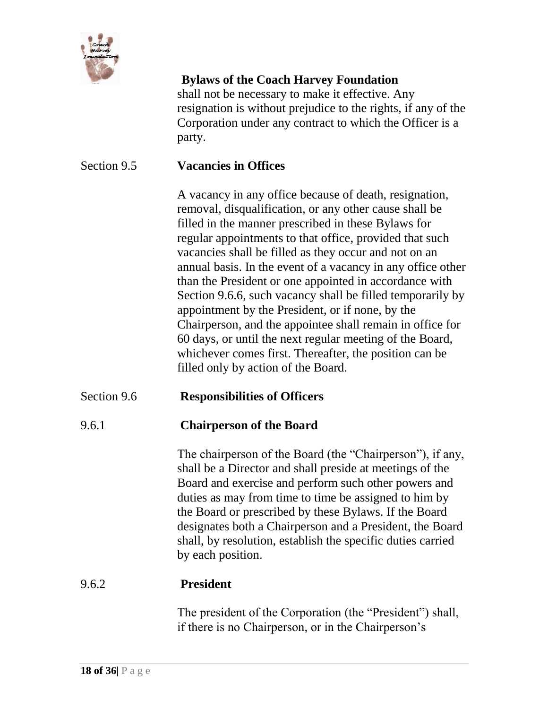

shall not be necessary to make it effective. Any resignation is without prejudice to the rights, if any of the Corporation under any contract to which the Officer is a party.

### Section 9.5 **Vacancies in Offices**

A vacancy in any office because of death, resignation, removal, disqualification, or any other cause shall be filled in the manner prescribed in these Bylaws for regular appointments to that office, provided that such vacancies shall be filled as they occur and not on an annual basis. In the event of a vacancy in any office other than the President or one appointed in accordance with Section 9.6.6, such vacancy shall be filled temporarily by appointment by the President, or if none, by the Chairperson, and the appointee shall remain in office for 60 days, or until the next regular meeting of the Board, whichever comes first. Thereafter, the position can be filled only by action of the Board.

### Section 9.6 **Responsibilities of Officers**

### 9.6.1 **Chairperson of the Board**

The chairperson of the Board (the "Chairperson"), if any, shall be a Director and shall preside at meetings of the Board and exercise and perform such other powers and duties as may from time to time be assigned to him by the Board or prescribed by these Bylaws. If the Board designates both a Chairperson and a President, the Board shall, by resolution, establish the specific duties carried by each position.

#### 9.6.2 **President**

The president of the Corporation (the "President") shall, if there is no Chairperson, or in the Chairperson's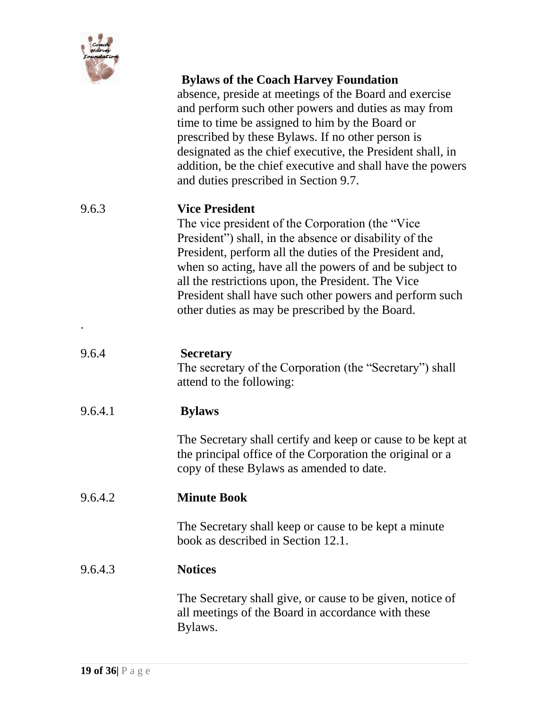

.

### **Bylaws of the Coach Harvey Foundation**

absence, preside at meetings of the Board and exercise and perform such other powers and duties as may from time to time be assigned to him by the Board or prescribed by these Bylaws. If no other person is designated as the chief executive, the President shall, in addition, be the chief executive and shall have the powers and duties prescribed in Section 9.7.

### 9.6.3 **Vice President**

The vice president of the Corporation (the "Vice President") shall, in the absence or disability of the President, perform all the duties of the President and, when so acting, have all the powers of and be subject to all the restrictions upon, the President. The Vice President shall have such other powers and perform such other duties as may be prescribed by the Board.

| 9.6.4   | <b>Secretary</b><br>The secretary of the Corporation (the "Secretary") shall<br>attend to the following:                                                             |
|---------|----------------------------------------------------------------------------------------------------------------------------------------------------------------------|
| 9.6.4.1 | <b>Bylaws</b>                                                                                                                                                        |
|         | The Secretary shall certify and keep or cause to be kept at<br>the principal office of the Corporation the original or a<br>copy of these Bylaws as amended to date. |
| 9.6.4.2 | <b>Minute Book</b>                                                                                                                                                   |
|         | The Secretary shall keep or cause to be kept a minute<br>book as described in Section 12.1.                                                                          |
| 9.6.4.3 | <b>Notices</b>                                                                                                                                                       |
|         | The Secretary shall give, or cause to be given, notice of<br>all meetings of the Board in accordance with these<br>Bylaws.                                           |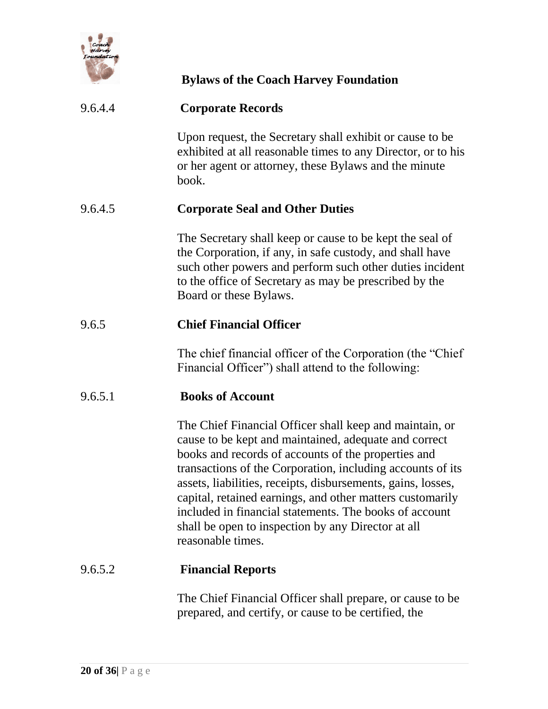

### 9.6.4.4 **Corporate Records**

Upon request, the Secretary shall exhibit or cause to be exhibited at all reasonable times to any Director, or to his or her agent or attorney, these Bylaws and the minute book.

### 9.6.4.5 **Corporate Seal and Other Duties**

The Secretary shall keep or cause to be kept the seal of the Corporation, if any, in safe custody, and shall have such other powers and perform such other duties incident to the office of Secretary as may be prescribed by the Board or these Bylaws.

### 9.6.5 **Chief Financial Officer**

The chief financial officer of the Corporation (the "Chief Financial Officer") shall attend to the following:

### 9.6.5.1 **Books of Account**

The Chief Financial Officer shall keep and maintain, or cause to be kept and maintained, adequate and correct books and records of accounts of the properties and transactions of the Corporation, including accounts of its assets, liabilities, receipts, disbursements, gains, losses, capital, retained earnings, and other matters customarily included in financial statements. The books of account shall be open to inspection by any Director at all reasonable times.

#### 9.6.5.2 **Financial Reports**

The Chief Financial Officer shall prepare, or cause to be prepared, and certify, or cause to be certified, the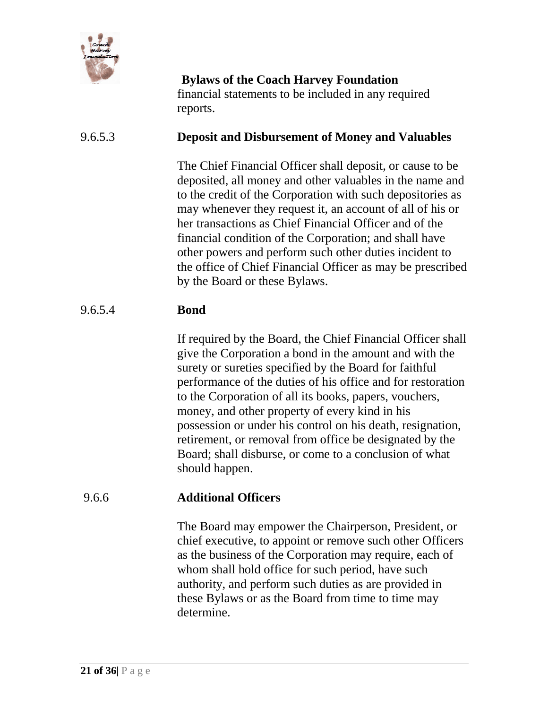

**Bylaws of the Coach Harvey Foundation** financial statements to be included in any required reports.

# 9.6.5.3 **Deposit and Disbursement of Money and Valuables**

The Chief Financial Officer shall deposit, or cause to be deposited, all money and other valuables in the name and to the credit of the Corporation with such depositories as may whenever they request it, an account of all of his or her transactions as Chief Financial Officer and of the financial condition of the Corporation; and shall have other powers and perform such other duties incident to the office of Chief Financial Officer as may be prescribed by the Board or these Bylaws.

### 9.6.5.4 **Bond**

If required by the Board, the Chief Financial Officer shall give the Corporation a bond in the amount and with the surety or sureties specified by the Board for faithful performance of the duties of his office and for restoration to the Corporation of all its books, papers, vouchers, money, and other property of every kind in his possession or under his control on his death, resignation, retirement, or removal from office be designated by the Board; shall disburse, or come to a conclusion of what should happen.

### 9.6.6 **Additional Officers**

The Board may empower the Chairperson, President, or chief executive, to appoint or remove such other Officers as the business of the Corporation may require, each of whom shall hold office for such period, have such authority, and perform such duties as are provided in these Bylaws or as the Board from time to time may determine.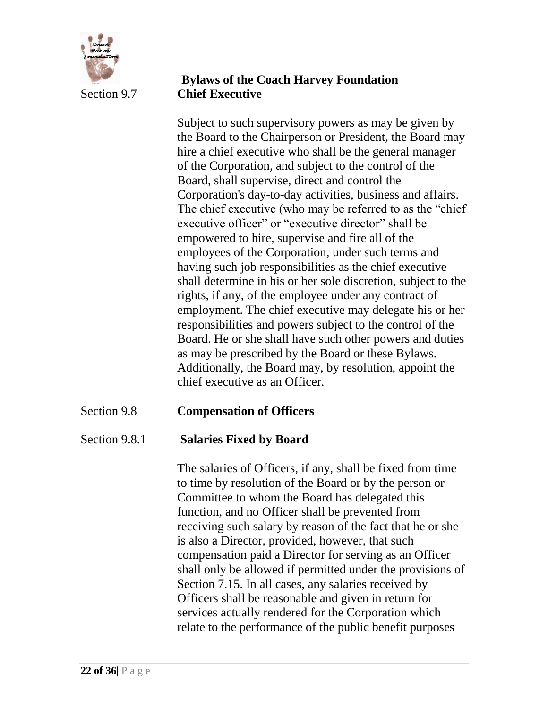

### **Bylaws of the Coach Harvey Foundation** Section 9.7 **Chief Executive**

Subject to such supervisory powers as may be given by the Board to the Chairperson or President, the Board may hire a chief executive who shall be the general manager of the Corporation, and subject to the control of the Board, shall supervise, direct and control the Corporation's day-to-day activities, business and affairs. The chief executive (who may be referred to as the "chief executive officer" or "executive director" shall be empowered to hire, supervise and fire all of the employees of the Corporation, under such terms and having such job responsibilities as the chief executive shall determine in his or her sole discretion, subject to the rights, if any, of the employee under any contract of employment. The chief executive may delegate his or her responsibilities and powers subject to the control of the Board. He or she shall have such other powers and duties as may be prescribed by the Board or these Bylaws. Additionally, the Board may, by resolution, appoint the chief executive as an Officer.

# Section 9.8 **Compensation of Officers**

### Section 9.8.1 **Salaries Fixed by Board**

The salaries of Officers, if any, shall be fixed from time to time by resolution of the Board or by the person or Committee to whom the Board has delegated this function, and no Officer shall be prevented from receiving such salary by reason of the fact that he or she is also a Director, provided, however, that such compensation paid a Director for serving as an Officer shall only be allowed if permitted under the provisions of Section 7.15. In all cases, any salaries received by Officers shall be reasonable and given in return for services actually rendered for the Corporation which relate to the performance of the public benefit purposes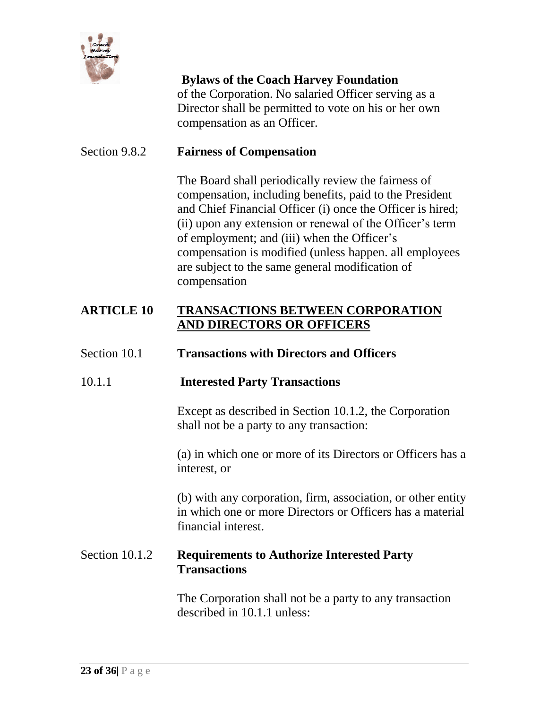

of the Corporation. No salaried Officer serving as a Director shall be permitted to vote on his or her own compensation as an Officer.

### Section 9.8.2 **Fairness of Compensation**

The Board shall periodically review the fairness of compensation, including benefits, paid to the President and Chief Financial Officer (i) once the Officer is hired; (ii) upon any extension or renewal of the Officer's term of employment; and (iii) when the Officer's compensation is modified (unless happen. all employees are subject to the same general modification of compensation

### **ARTICLE 10 TRANSACTIONS BETWEEN CORPORATION AND DIRECTORS OR OFFICERS**

#### Section 10.1 **Transactions with Directors and Officers**

#### 10.1.1 **Interested Party Transactions**

Except as described in Section 10.1.2, the Corporation shall not be a party to any transaction:

(a) in which one or more of its Directors or Officers has a interest, or

(b) with any corporation, firm, association, or other entity in which one or more Directors or Officers has a material financial interest.

### Section 10.1.2 **Requirements to Authorize Interested Party Transactions**

The Corporation shall not be a party to any transaction described in 10.1.1 unless: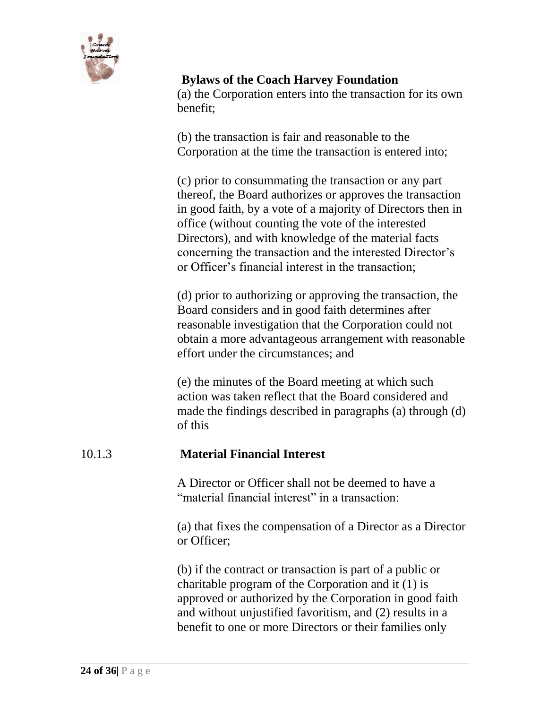

(a) the Corporation enters into the transaction for its own benefit;

(b) the transaction is fair and reasonable to the Corporation at the time the transaction is entered into;

(c) prior to consummating the transaction or any part thereof, the Board authorizes or approves the transaction in good faith, by a vote of a majority of Directors then in office (without counting the vote of the interested Directors), and with knowledge of the material facts concerning the transaction and the interested Director's or Officer's financial interest in the transaction;

(d) prior to authorizing or approving the transaction, the Board considers and in good faith determines after reasonable investigation that the Corporation could not obtain a more advantageous arrangement with reasonable effort under the circumstances; and

(e) the minutes of the Board meeting at which such action was taken reflect that the Board considered and made the findings described in paragraphs (a) through (d) of this

### 10.1.3 **Material Financial Interest**

A Director or Officer shall not be deemed to have a "material financial interest" in a transaction:

(a) that fixes the compensation of a Director as a Director or Officer;

(b) if the contract or transaction is part of a public or charitable program of the Corporation and it (1) is approved or authorized by the Corporation in good faith and without unjustified favoritism, and (2) results in a benefit to one or more Directors or their families only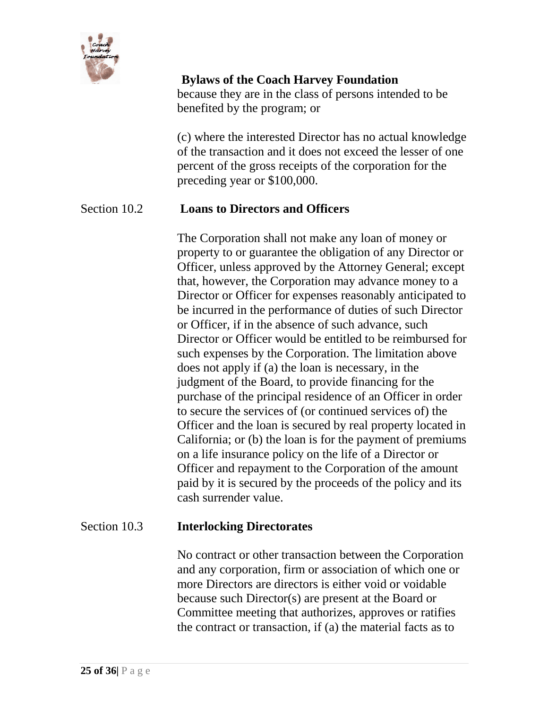

### **Bylaws of the Coach Harvey Foundation** because they are in the class of persons intended to be benefited by the program; or

(c) where the interested Director has no actual knowledge of the transaction and it does not exceed the lesser of one percent of the gross receipts of the corporation for the preceding year or \$100,000.

### Section 10.2 **Loans to Directors and Officers**

The Corporation shall not make any loan of money or property to or guarantee the obligation of any Director or Officer, unless approved by the Attorney General; except that, however, the Corporation may advance money to a Director or Officer for expenses reasonably anticipated to be incurred in the performance of duties of such Director or Officer, if in the absence of such advance, such Director or Officer would be entitled to be reimbursed for such expenses by the Corporation. The limitation above does not apply if (a) the loan is necessary, in the judgment of the Board, to provide financing for the purchase of the principal residence of an Officer in order to secure the services of (or continued services of) the Officer and the loan is secured by real property located in California; or (b) the loan is for the payment of premiums on a life insurance policy on the life of a Director or Officer and repayment to the Corporation of the amount paid by it is secured by the proceeds of the policy and its cash surrender value.

#### Section 10.3 **Interlocking Directorates**

No contract or other transaction between the Corporation and any corporation, firm or association of which one or more Directors are directors is either void or voidable because such Director(s) are present at the Board or Committee meeting that authorizes, approves or ratifies the contract or transaction, if (a) the material facts as to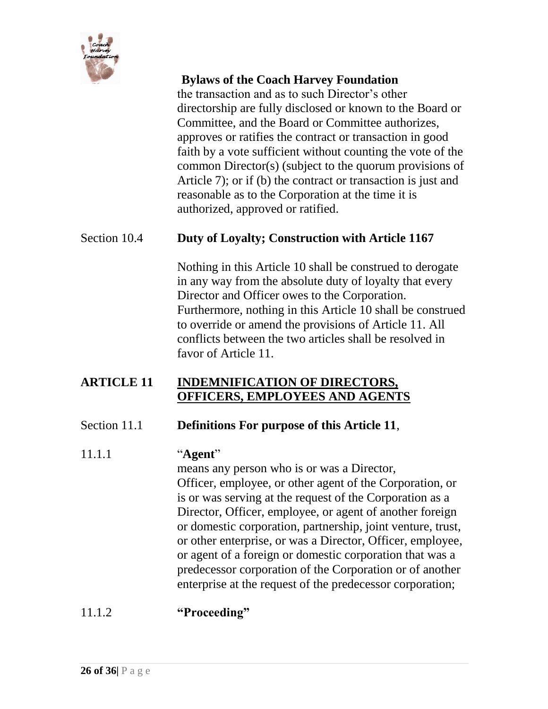

the transaction and as to such Director's other directorship are fully disclosed or known to the Board or Committee, and the Board or Committee authorizes, approves or ratifies the contract or transaction in good faith by a vote sufficient without counting the vote of the common Director(s) (subject to the quorum provisions of Article 7); or if (b) the contract or transaction is just and reasonable as to the Corporation at the time it is authorized, approved or ratified.

### Section 10.4 **Duty of Loyalty; Construction with Article 1167**

Nothing in this Article 10 shall be construed to derogate in any way from the absolute duty of loyalty that every Director and Officer owes to the Corporation. Furthermore, nothing in this Article 10 shall be construed to override or amend the provisions of Article 11. All conflicts between the two articles shall be resolved in favor of Article 11.

### **ARTICLE 11 INDEMNIFICATION OF DIRECTORS, OFFICERS, EMPLOYEES AND AGENTS**

#### Section 11.1 **Definitions For purpose of this Article 11**,

#### 11.1.1 "**Agent**"

means any person who is or was a Director, Officer, employee, or other agent of the Corporation, or is or was serving at the request of the Corporation as a Director, Officer, employee, or agent of another foreign or domestic corporation, partnership, joint venture, trust, or other enterprise, or was a Director, Officer, employee, or agent of a foreign or domestic corporation that was a predecessor corporation of the Corporation or of another enterprise at the request of the predecessor corporation;

# 11.1.2 **"Proceeding"**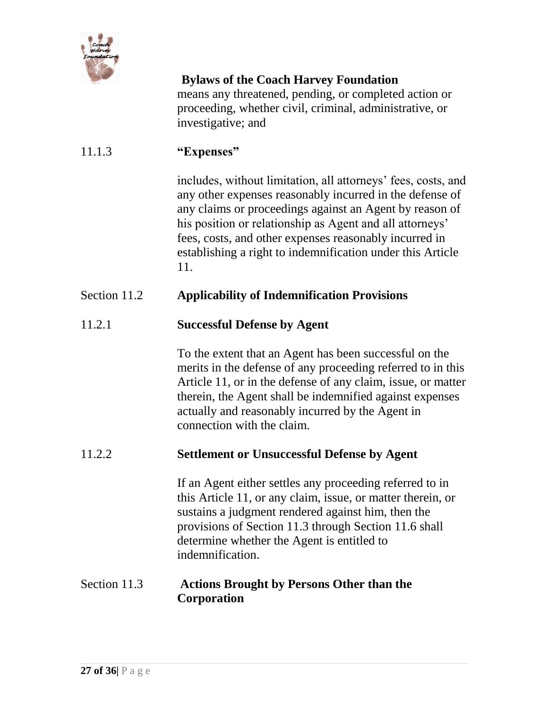

**Bylaws of the Coach Harvey Foundation** means any threatened, pending, or completed action or proceeding, whether civil, criminal, administrative, or investigative; and

# 11.1.3 **"Expenses"**

includes, without limitation, all attorneys' fees, costs, and any other expenses reasonably incurred in the defense of any claims or proceedings against an Agent by reason of his position or relationship as Agent and all attorneys' fees, costs, and other expenses reasonably incurred in establishing a right to indemnification under this Article 11.

### Section 11.2 **Applicability of Indemnification Provisions**

### 11.2.1 **Successful Defense by Agent**

To the extent that an Agent has been successful on the merits in the defense of any proceeding referred to in this Article 11, or in the defense of any claim, issue, or matter therein, the Agent shall be indemnified against expenses actually and reasonably incurred by the Agent in connection with the claim.

#### 11.2.2 **Settlement or Unsuccessful Defense by Agent**

If an Agent either settles any proceeding referred to in this Article 11, or any claim, issue, or matter therein, or sustains a judgment rendered against him, then the provisions of Section 11.3 through Section 11.6 shall determine whether the Agent is entitled to indemnification.

### Section 11.3 **Actions Brought by Persons Other than the Corporation**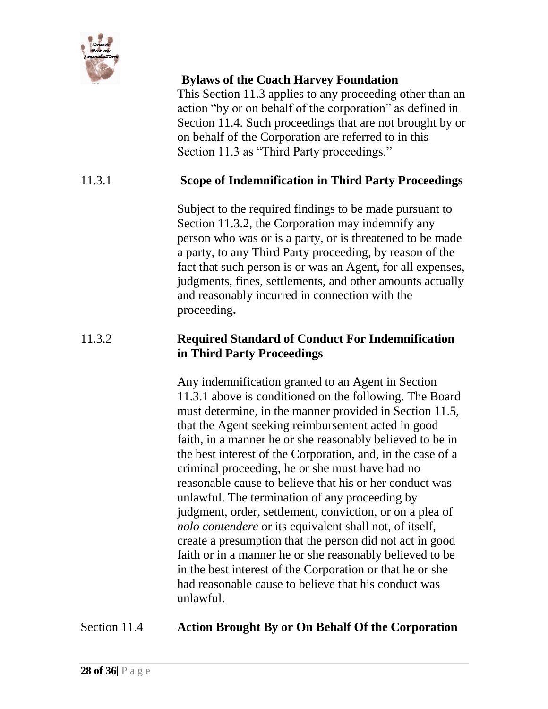

This Section 11.3 applies to any proceeding other than an action "by or on behalf of the corporation" as defined in Section 11.4. Such proceedings that are not brought by or on behalf of the Corporation are referred to in this Section 11.3 as "Third Party proceedings."

### 11.3.1 **Scope of Indemnification in Third Party Proceedings**

Subject to the required findings to be made pursuant to Section 11.3.2, the Corporation may indemnify any person who was or is a party, or is threatened to be made a party, to any Third Party proceeding, by reason of the fact that such person is or was an Agent, for all expenses, judgments, fines, settlements, and other amounts actually and reasonably incurred in connection with the proceeding**.**

### 11.3.2 **Required Standard of Conduct For Indemnification in Third Party Proceedings**

Any indemnification granted to an Agent in Section 11.3.1 above is conditioned on the following. The Board must determine, in the manner provided in Section 11.5, that the Agent seeking reimbursement acted in good faith, in a manner he or she reasonably believed to be in the best interest of the Corporation, and, in the case of a criminal proceeding, he or she must have had no reasonable cause to believe that his or her conduct was unlawful. The termination of any proceeding by judgment, order, settlement, conviction, or on a plea of *nolo contendere* or its equivalent shall not, of itself, create a presumption that the person did not act in good faith or in a manner he or she reasonably believed to be in the best interest of the Corporation or that he or she had reasonable cause to believe that his conduct was unlawful.

### Section 11.4 **Action Brought By or On Behalf Of the Corporation**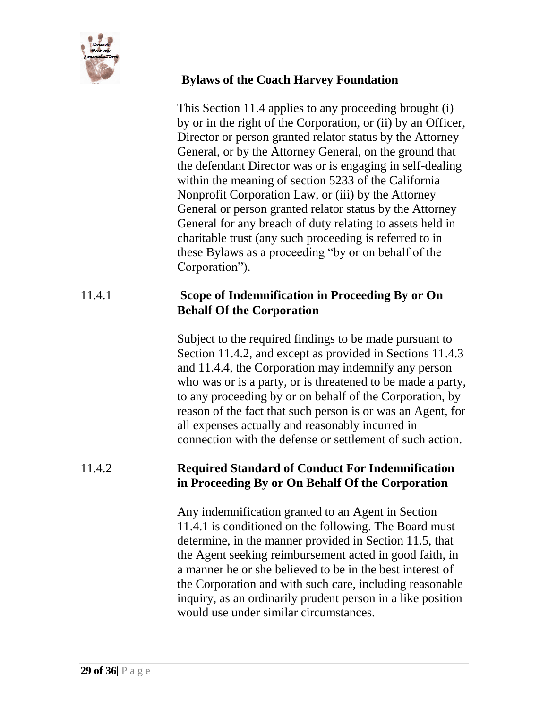

This Section 11.4 applies to any proceeding brought (i) by or in the right of the Corporation, or (ii) by an Officer, Director or person granted relator status by the Attorney General, or by the Attorney General, on the ground that the defendant Director was or is engaging in self-dealing within the meaning of section 5233 of the California Nonprofit Corporation Law, or (iii) by the Attorney General or person granted relator status by the Attorney General for any breach of duty relating to assets held in charitable trust (any such proceeding is referred to in these Bylaws as a proceeding "by or on behalf of the Corporation").

# 11.4.1 **Scope of Indemnification in Proceeding By or On Behalf Of the Corporation**

Subject to the required findings to be made pursuant to Section 11.4.2, and except as provided in Sections 11.4.3 and 11.4.4, the Corporation may indemnify any person who was or is a party, or is threatened to be made a party, to any proceeding by or on behalf of the Corporation, by reason of the fact that such person is or was an Agent, for all expenses actually and reasonably incurred in connection with the defense or settlement of such action.

### 11.4.2 **Required Standard of Conduct For Indemnification in Proceeding By or On Behalf Of the Corporation**

Any indemnification granted to an Agent in Section 11.4.1 is conditioned on the following. The Board must determine, in the manner provided in Section 11.5, that the Agent seeking reimbursement acted in good faith, in a manner he or she believed to be in the best interest of the Corporation and with such care, including reasonable inquiry, as an ordinarily prudent person in a like position would use under similar circumstances.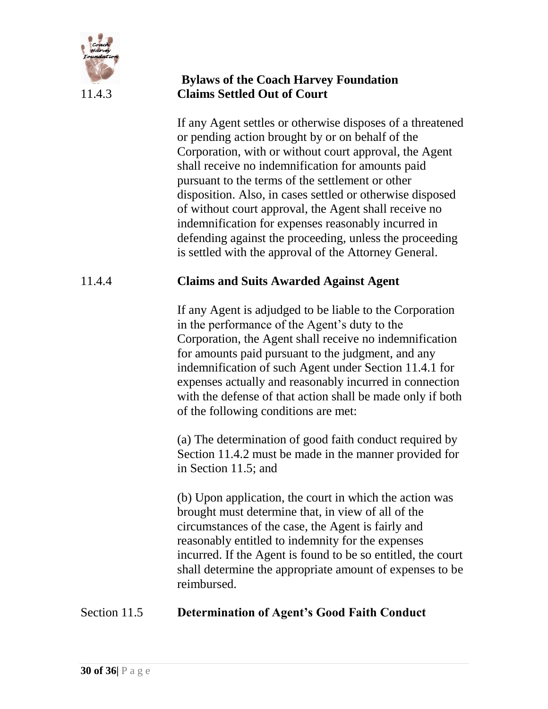

### **Bylaws of the Coach Harvey Foundation** 11.4.3 **Claims Settled Out of Court**

If any Agent settles or otherwise disposes of a threatened or pending action brought by or on behalf of the Corporation, with or without court approval, the Agent shall receive no indemnification for amounts paid pursuant to the terms of the settlement or other disposition. Also, in cases settled or otherwise disposed of without court approval, the Agent shall receive no indemnification for expenses reasonably incurred in defending against the proceeding, unless the proceeding is settled with the approval of the Attorney General.

# 11.4.4 **Claims and Suits Awarded Against Agent**

If any Agent is adjudged to be liable to the Corporation in the performance of the Agent's duty to the Corporation, the Agent shall receive no indemnification for amounts paid pursuant to the judgment, and any indemnification of such Agent under Section 11.4.1 for expenses actually and reasonably incurred in connection with the defense of that action shall be made only if both of the following conditions are met:

(a) The determination of good faith conduct required by Section 11.4.2 must be made in the manner provided for in Section 11.5; and

(b) Upon application, the court in which the action was brought must determine that, in view of all of the circumstances of the case, the Agent is fairly and reasonably entitled to indemnity for the expenses incurred. If the Agent is found to be so entitled, the court shall determine the appropriate amount of expenses to be reimbursed.

# Section 11.5 **Determination of Agent's Good Faith Conduct**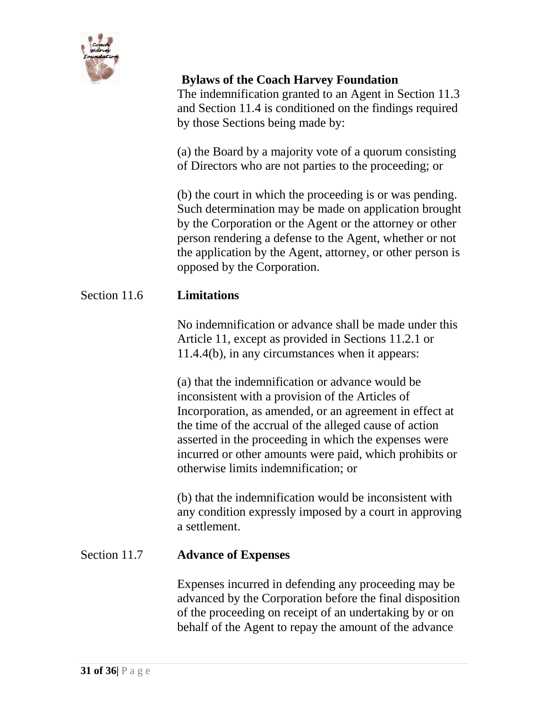

The indemnification granted to an Agent in Section 11.3 and Section 11.4 is conditioned on the findings required by those Sections being made by:

(a) the Board by a majority vote of a quorum consisting of Directors who are not parties to the proceeding; or

(b) the court in which the proceeding is or was pending. Such determination may be made on application brought by the Corporation or the Agent or the attorney or other person rendering a defense to the Agent, whether or not the application by the Agent, attorney, or other person is opposed by the Corporation.

### Section 11.6 **Limitations**

No indemnification or advance shall be made under this Article 11, except as provided in Sections 11.2.1 or 11.4.4(b), in any circumstances when it appears:

(a) that the indemnification or advance would be inconsistent with a provision of the Articles of Incorporation, as amended, or an agreement in effect at the time of the accrual of the alleged cause of action asserted in the proceeding in which the expenses were incurred or other amounts were paid, which prohibits or otherwise limits indemnification; or

(b) that the indemnification would be inconsistent with any condition expressly imposed by a court in approving a settlement.

### Section 11.7 **Advance of Expenses**

Expenses incurred in defending any proceeding may be advanced by the Corporation before the final disposition of the proceeding on receipt of an undertaking by or on behalf of the Agent to repay the amount of the advance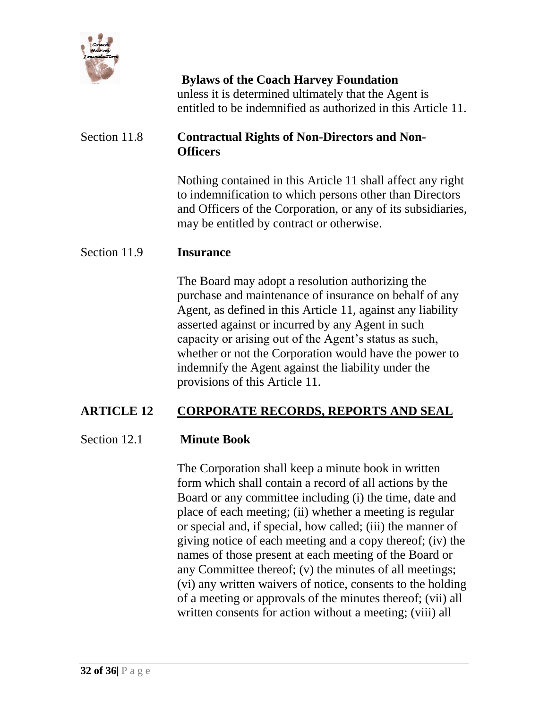

**Bylaws of the Coach Harvey Foundation** unless it is determined ultimately that the Agent is entitled to be indemnified as authorized in this Article 11.

# Section 11.8 **Contractual Rights of Non-Directors and Non-Officers**

Nothing contained in this Article 11 shall affect any right to indemnification to which persons other than Directors and Officers of the Corporation, or any of its subsidiaries, may be entitled by contract or otherwise.

#### Section 11.9 **Insurance**

The Board may adopt a resolution authorizing the purchase and maintenance of insurance on behalf of any Agent, as defined in this Article 11, against any liability asserted against or incurred by any Agent in such capacity or arising out of the Agent's status as such, whether or not the Corporation would have the power to indemnify the Agent against the liability under the provisions of this Article 11.

### **ARTICLE 12 CORPORATE RECORDS, REPORTS AND SEAL**

#### Section 12.1 **Minute Book**

The Corporation shall keep a minute book in written form which shall contain a record of all actions by the Board or any committee including (i) the time, date and place of each meeting; (ii) whether a meeting is regular or special and, if special, how called; (iii) the manner of giving notice of each meeting and a copy thereof; (iv) the names of those present at each meeting of the Board or any Committee thereof; (v) the minutes of all meetings; (vi) any written waivers of notice, consents to the holding of a meeting or approvals of the minutes thereof; (vii) all written consents for action without a meeting; (viii) all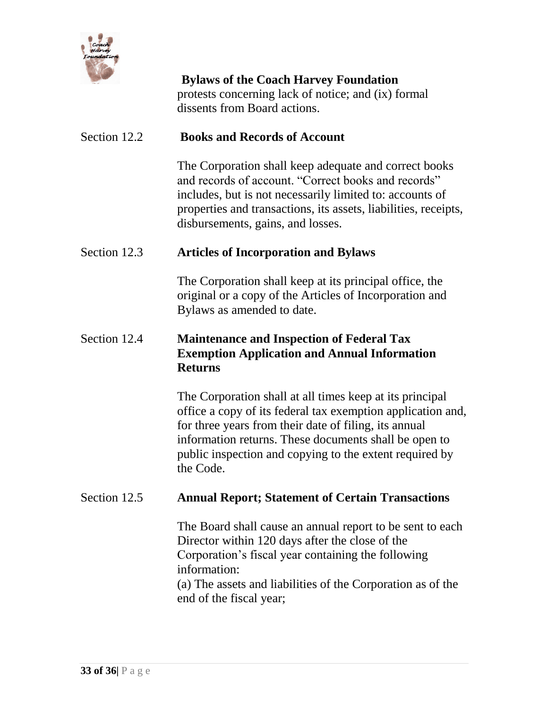

**Bylaws of the Coach Harvey Foundation** protests concerning lack of notice; and (ix) formal dissents from Board actions.

### Section 12.2 **Books and Records of Account**

The Corporation shall keep adequate and correct books and records of account. "Correct books and records" includes, but is not necessarily limited to: accounts of properties and transactions, its assets, liabilities, receipts, disbursements, gains, and losses.

#### Section 12.3 **Articles of Incorporation and Bylaws**

The Corporation shall keep at its principal office, the original or a copy of the Articles of Incorporation and Bylaws as amended to date.

# Section 12.4 **Maintenance and Inspection of Federal Tax Exemption Application and Annual Information Returns**

The Corporation shall at all times keep at its principal office a copy of its federal tax exemption application and, for three years from their date of filing, its annual information returns. These documents shall be open to public inspection and copying to the extent required by the Code.

#### Section 12.5 **Annual Report; Statement of Certain Transactions**

The Board shall cause an annual report to be sent to each Director within 120 days after the close of the Corporation's fiscal year containing the following information:

(a) The assets and liabilities of the Corporation as of the end of the fiscal year;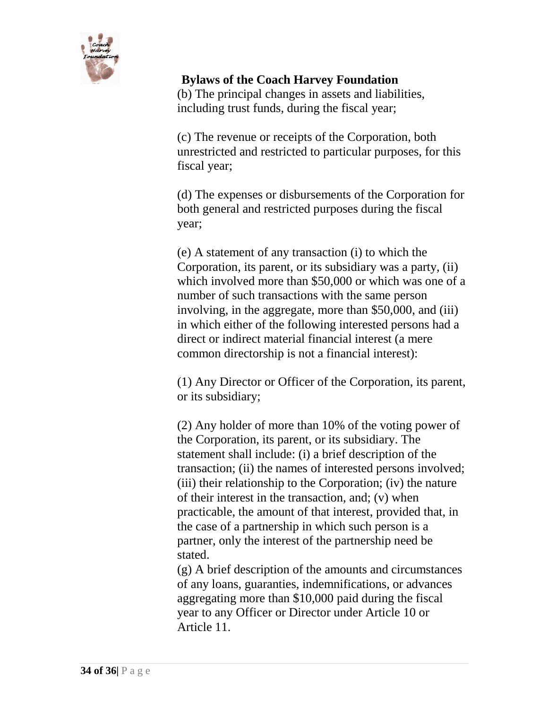

(b) The principal changes in assets and liabilities, including trust funds, during the fiscal year;

(c) The revenue or receipts of the Corporation, both unrestricted and restricted to particular purposes, for this fiscal year;

(d) The expenses or disbursements of the Corporation for both general and restricted purposes during the fiscal year;

(e) A statement of any transaction (i) to which the Corporation, its parent, or its subsidiary was a party, (ii) which involved more than \$50,000 or which was one of a number of such transactions with the same person involving, in the aggregate, more than \$50,000, and (iii) in which either of the following interested persons had a direct or indirect material financial interest (a mere common directorship is not a financial interest):

(1) Any Director or Officer of the Corporation, its parent, or its subsidiary;

(2) Any holder of more than 10% of the voting power of the Corporation, its parent, or its subsidiary. The statement shall include: (i) a brief description of the transaction; (ii) the names of interested persons involved; (iii) their relationship to the Corporation; (iv) the nature of their interest in the transaction, and; (v) when practicable, the amount of that interest, provided that, in the case of a partnership in which such person is a partner, only the interest of the partnership need be stated.

(g) A brief description of the amounts and circumstances of any loans, guaranties, indemnifications, or advances aggregating more than \$10,000 paid during the fiscal year to any Officer or Director under Article 10 or Article 11.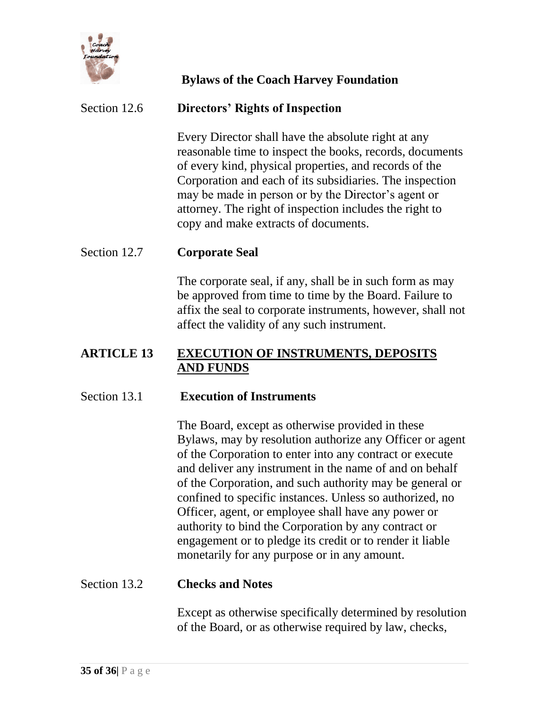

### Section 12.6 **Directors' Rights of Inspection**

Every Director shall have the absolute right at any reasonable time to inspect the books, records, documents of every kind, physical properties, and records of the Corporation and each of its subsidiaries. The inspection may be made in person or by the Director's agent or attorney. The right of inspection includes the right to copy and make extracts of documents.

#### Section 12.7 **Corporate Seal**

The corporate seal, if any, shall be in such form as may be approved from time to time by the Board. Failure to affix the seal to corporate instruments, however, shall not affect the validity of any such instrument.

#### **ARTICLE 13 EXECUTION OF INSTRUMENTS, DEPOSITS AND FUNDS**

#### Section 13.1 **Execution of Instruments**

The Board, except as otherwise provided in these Bylaws, may by resolution authorize any Officer or agent of the Corporation to enter into any contract or execute and deliver any instrument in the name of and on behalf of the Corporation, and such authority may be general or confined to specific instances. Unless so authorized, no Officer, agent, or employee shall have any power or authority to bind the Corporation by any contract or engagement or to pledge its credit or to render it liable monetarily for any purpose or in any amount.

#### Section 13.2 **Checks and Notes**

Except as otherwise specifically determined by resolution of the Board, or as otherwise required by law, checks,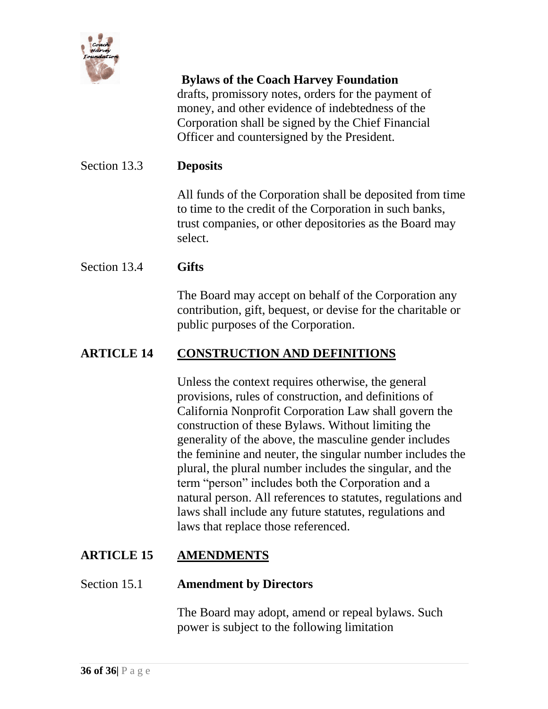

drafts, promissory notes, orders for the payment of money, and other evidence of indebtedness of the Corporation shall be signed by the Chief Financial Officer and countersigned by the President.

### Section 13.3 **Deposits**

All funds of the Corporation shall be deposited from time to time to the credit of the Corporation in such banks, trust companies, or other depositories as the Board may select.

### Section 13.4 **Gifts**

The Board may accept on behalf of the Corporation any contribution, gift, bequest, or devise for the charitable or public purposes of the Corporation.

# **ARTICLE 14 CONSTRUCTION AND DEFINITIONS**

Unless the context requires otherwise, the general provisions, rules of construction, and definitions of California Nonprofit Corporation Law shall govern the construction of these Bylaws. Without limiting the generality of the above, the masculine gender includes the feminine and neuter, the singular number includes the plural, the plural number includes the singular, and the term "person" includes both the Corporation and a natural person. All references to statutes, regulations and laws shall include any future statutes, regulations and laws that replace those referenced.

# **ARTICLE 15 AMENDMENTS**

#### Section 15.1 **Amendment by Directors**

The Board may adopt, amend or repeal bylaws. Such power is subject to the following limitation